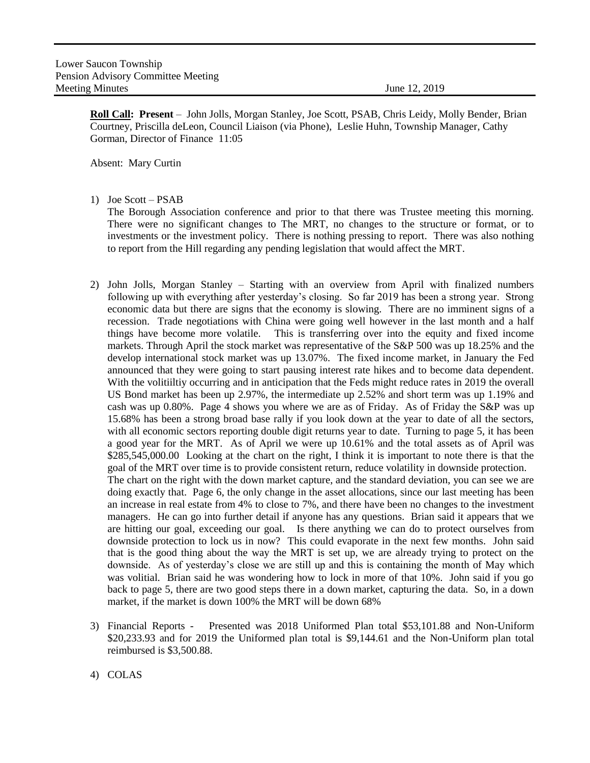**Roll Call: Present** – John Jolls, Morgan Stanley, Joe Scott, PSAB, Chris Leidy, Molly Bender, Brian Courtney, Priscilla deLeon, Council Liaison (via Phone), Leslie Huhn, Township Manager, Cathy Gorman, Director of Finance 11:05

Absent: Mary Curtin

1) Joe Scott – PSAB

The Borough Association conference and prior to that there was Trustee meeting this morning. There were no significant changes to The MRT, no changes to the structure or format, or to investments or the investment policy. There is nothing pressing to report. There was also nothing to report from the Hill regarding any pending legislation that would affect the MRT.

- 2) John Jolls, Morgan Stanley Starting with an overview from April with finalized numbers following up with everything after yesterday's closing. So far 2019 has been a strong year. Strong economic data but there are signs that the economy is slowing. There are no imminent signs of a recession. Trade negotiations with China were going well however in the last month and a half things have become more volatile. This is transferring over into the equity and fixed income markets. Through April the stock market was representative of the S&P 500 was up 18.25% and the develop international stock market was up 13.07%. The fixed income market, in January the Fed announced that they were going to start pausing interest rate hikes and to become data dependent. With the volitiiltiy occurring and in anticipation that the Feds might reduce rates in 2019 the overall US Bond market has been up 2.97%, the intermediate up 2.52% and short term was up 1.19% and cash was up 0.80%. Page 4 shows you where we are as of Friday. As of Friday the S&P was up 15.68% has been a strong broad base rally if you look down at the year to date of all the sectors, with all economic sectors reporting double digit returns year to date. Turning to page 5, it has been a good year for the MRT. As of April we were up 10.61% and the total assets as of April was \$285,545,000.00 Looking at the chart on the right, I think it is important to note there is that the goal of the MRT over time is to provide consistent return, reduce volatility in downside protection. The chart on the right with the down market capture, and the standard deviation, you can see we are doing exactly that. Page 6, the only change in the asset allocations, since our last meeting has been an increase in real estate from 4% to close to 7%, and there have been no changes to the investment managers. He can go into further detail if anyone has any questions. Brian said it appears that we are hitting our goal, exceeding our goal. Is there anything we can do to protect ourselves from downside protection to lock us in now? This could evaporate in the next few months. John said that is the good thing about the way the MRT is set up, we are already trying to protect on the downside. As of yesterday's close we are still up and this is containing the month of May which was volitial. Brian said he was wondering how to lock in more of that 10%. John said if you go back to page 5, there are two good steps there in a down market, capturing the data. So, in a down market, if the market is down 100% the MRT will be down 68%
- 3) Financial Reports Presented was 2018 Uniformed Plan total \$53,101.88 and Non-Uniform \$20,233.93 and for 2019 the Uniformed plan total is \$9,144.61 and the Non-Uniform plan total reimbursed is \$3,500.88.
- 4) COLAS